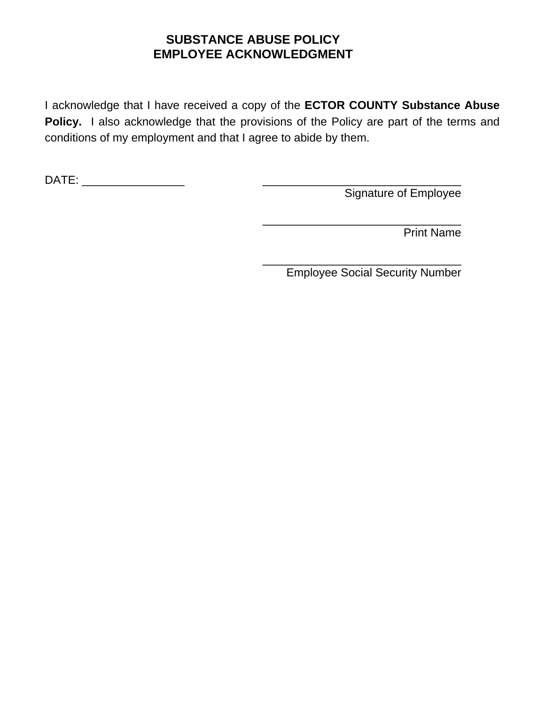#### **SUBSTANCE ABUSE POLICY EMPLOYEE ACKNOWLEDGMENT**

 $\frac{1}{\sqrt{2}}$  , and the contract of the contract of the contract of the contract of the contract of the contract of the contract of the contract of the contract of the contract of the contract of the contract of the contra

I acknowledge that I have received a copy of the **ECTOR COUNTY Substance Abuse Policy.** I also acknowledge that the provisions of the Policy are part of the terms and conditions of my employment and that I agree to abide by them.

DATE: \_\_\_\_\_\_\_\_\_\_\_\_\_\_\_\_ \_\_\_\_\_\_\_\_\_\_\_\_\_\_\_\_\_\_\_\_\_\_\_\_\_\_\_\_\_\_\_

Signature of Employee

Print Name

 $\frac{1}{\sqrt{2}}$  , and the contract of the contract of the contract of the contract of the contract of the contract of the contract of the contract of the contract of the contract of the contract of the contract of the contra Employee Social Security Number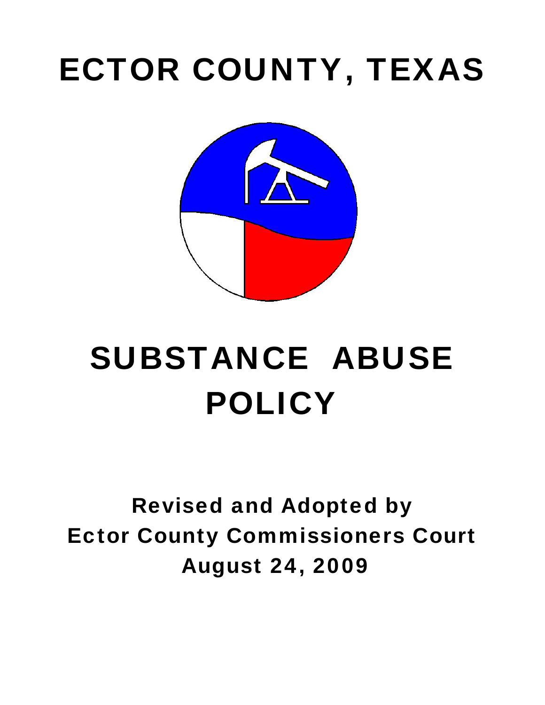## ECTOR COUNTY, TEXAS



# SUBSTANCE ABUSE POLICY

### Revised and Adopted by Ector County Commissioners Court August 24, 2009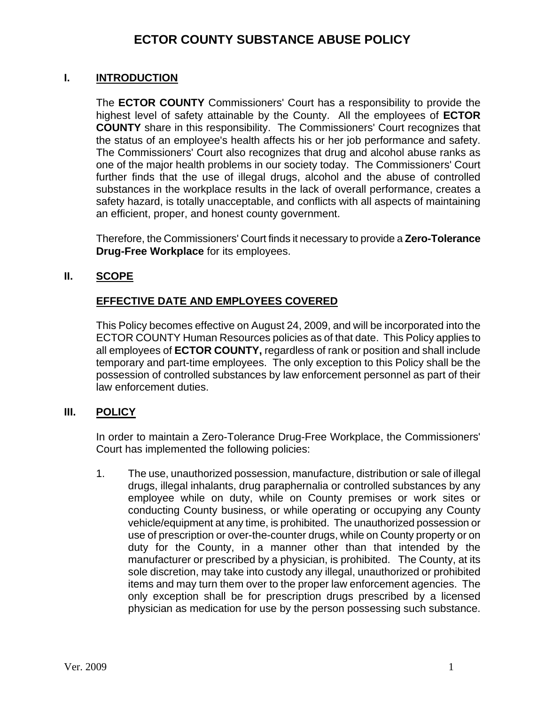#### **ECTOR COUNTY SUBSTANCE ABUSE POLICY**

#### **I. INTRODUCTION**

The **ECTOR COUNTY** Commissioners' Court has a responsibility to provide the highest level of safety attainable by the County. All the employees of **ECTOR COUNTY** share in this responsibility. The Commissioners' Court recognizes that the status of an employee's health affects his or her job performance and safety. The Commissioners' Court also recognizes that drug and alcohol abuse ranks as one of the major health problems in our society today. The Commissioners' Court further finds that the use of illegal drugs, alcohol and the abuse of controlled substances in the workplace results in the lack of overall performance, creates a safety hazard, is totally unacceptable, and conflicts with all aspects of maintaining an efficient, proper, and honest county government.

Therefore, the Commissioners' Court finds it necessary to provide a **Zero-Tolerance Drug-Free Workplace** for its employees.

#### **II. SCOPE**

#### **EFFECTIVE DATE AND EMPLOYEES COVERED**

This Policy becomes effective on August 24, 2009, and will be incorporated into the ECTOR COUNTY Human Resources policies as of that date. This Policy applies to all employees of **ECTOR COUNTY,** regardless of rank or position and shall include temporary and part-time employees. The only exception to this Policy shall be the possession of controlled substances by law enforcement personnel as part of their law enforcement duties.

#### **III. POLICY**

In order to maintain a Zero-Tolerance Drug-Free Workplace, the Commissioners' Court has implemented the following policies:

1. The use, unauthorized possession, manufacture, distribution or sale of illegal drugs, illegal inhalants, drug paraphernalia or controlled substances by any employee while on duty, while on County premises or work sites or conducting County business, or while operating or occupying any County vehicle/equipment at any time, is prohibited. The unauthorized possession or use of prescription or over-the-counter drugs, while on County property or on duty for the County, in a manner other than that intended by the manufacturer or prescribed by a physician, is prohibited. The County, at its sole discretion, may take into custody any illegal, unauthorized or prohibited items and may turn them over to the proper law enforcement agencies. The only exception shall be for prescription drugs prescribed by a licensed physician as medication for use by the person possessing such substance.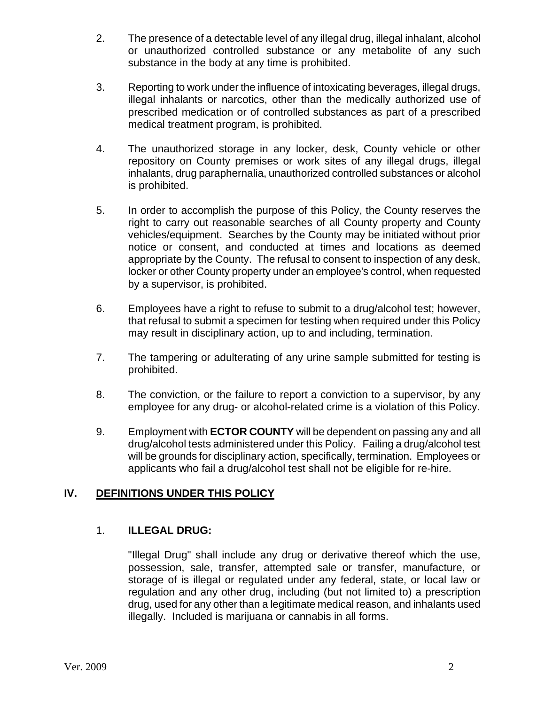- 2. The presence of a detectable level of any illegal drug, illegal inhalant, alcohol or unauthorized controlled substance or any metabolite of any such substance in the body at any time is prohibited.
- 3. Reporting to work under the influence of intoxicating beverages, illegal drugs, illegal inhalants or narcotics, other than the medically authorized use of prescribed medication or of controlled substances as part of a prescribed medical treatment program, is prohibited.
- 4. The unauthorized storage in any locker, desk, County vehicle or other repository on County premises or work sites of any illegal drugs, illegal inhalants, drug paraphernalia, unauthorized controlled substances or alcohol is prohibited.
- 5. In order to accomplish the purpose of this Policy, the County reserves the right to carry out reasonable searches of all County property and County vehicles/equipment. Searches by the County may be initiated without prior notice or consent, and conducted at times and locations as deemed appropriate by the County. The refusal to consent to inspection of any desk, locker or other County property under an employee's control, when requested by a supervisor, is prohibited.
- 6. Employees have a right to refuse to submit to a drug/alcohol test; however, that refusal to submit a specimen for testing when required under this Policy may result in disciplinary action, up to and including, termination.
- 7. The tampering or adulterating of any urine sample submitted for testing is prohibited.
- 8. The conviction, or the failure to report a conviction to a supervisor, by any employee for any drug- or alcohol-related crime is a violation of this Policy.
- 9. Employment with **ECTOR COUNTY** will be dependent on passing any and all drug/alcohol tests administered under this Policy. Failing a drug/alcohol test will be grounds for disciplinary action, specifically, termination. Employees or applicants who fail a drug/alcohol test shall not be eligible for re-hire.

#### **IV. DEFINITIONS UNDER THIS POLICY**

#### 1. **ILLEGAL DRUG:**

"Illegal Drug" shall include any drug or derivative thereof which the use, possession, sale, transfer, attempted sale or transfer, manufacture, or storage of is illegal or regulated under any federal, state, or local law or regulation and any other drug, including (but not limited to) a prescription drug, used for any other than a legitimate medical reason, and inhalants used illegally. Included is marijuana or cannabis in all forms.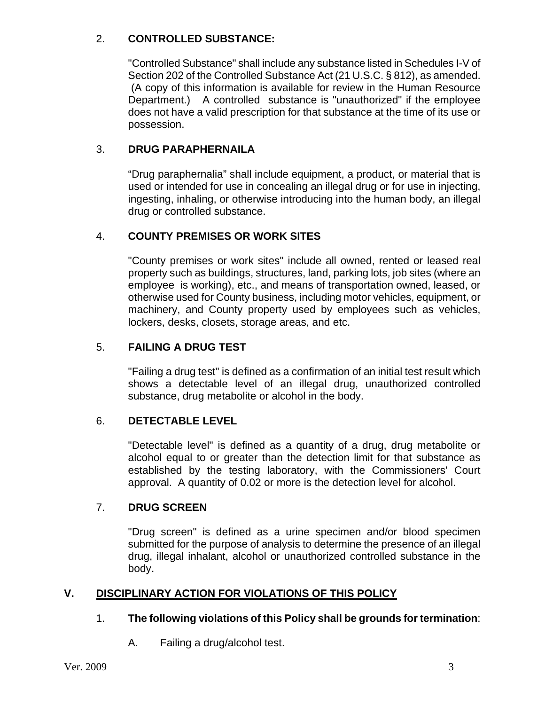#### 2. **CONTROLLED SUBSTANCE:**

"Controlled Substance" shall include any substance listed in Schedules I-V of Section 202 of the Controlled Substance Act (21 U.S.C. § 812), as amended. (A copy of this information is available for review in the Human Resource Department.) A controlled substance is "unauthorized" if the employee does not have a valid prescription for that substance at the time of its use or possession.

#### 3. **DRUG PARAPHERNAILA**

"Drug paraphernalia" shall include equipment, a product, or material that is used or intended for use in concealing an illegal drug or for use in injecting, ingesting, inhaling, or otherwise introducing into the human body, an illegal drug or controlled substance.

#### 4. **COUNTY PREMISES OR WORK SITES**

"County premises or work sites" include all owned, rented or leased real property such as buildings, structures, land, parking lots, job sites (where an employee is working), etc., and means of transportation owned, leased, or otherwise used for County business, including motor vehicles, equipment, or machinery, and County property used by employees such as vehicles, lockers, desks, closets, storage areas, and etc.

#### 5. **FAILING A DRUG TEST**

"Failing a drug test" is defined as a confirmation of an initial test result which shows a detectable level of an illegal drug, unauthorized controlled substance, drug metabolite or alcohol in the body.

#### 6. **DETECTABLE LEVEL**

"Detectable level" is defined as a quantity of a drug, drug metabolite or alcohol equal to or greater than the detection limit for that substance as established by the testing laboratory, with the Commissioners' Court approval. A quantity of 0.02 or more is the detection level for alcohol.

#### 7. **DRUG SCREEN**

"Drug screen" is defined as a urine specimen and/or blood specimen submitted for the purpose of analysis to determine the presence of an illegal drug, illegal inhalant, alcohol or unauthorized controlled substance in the body.

#### **V. DISCIPLINARY ACTION FOR VIOLATIONS OF THIS POLICY**

#### 1. **The following violations of this Policy shall be grounds for termination**:

A. Failing a drug/alcohol test.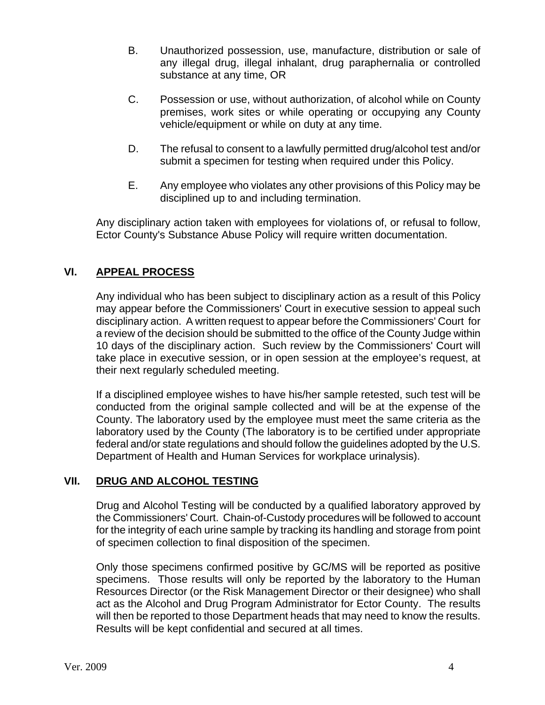- B. Unauthorized possession, use, manufacture, distribution or sale of any illegal drug, illegal inhalant, drug paraphernalia or controlled substance at any time, OR
- C. Possession or use, without authorization, of alcohol while on County premises, work sites or while operating or occupying any County vehicle/equipment or while on duty at any time.
- D. The refusal to consent to a lawfully permitted drug/alcohol test and/or submit a specimen for testing when required under this Policy.
- E. Any employee who violates any other provisions of this Policy may be disciplined up to and including termination.

Any disciplinary action taken with employees for violations of, or refusal to follow, Ector County's Substance Abuse Policy will require written documentation.

#### **VI. APPEAL PROCESS**

Any individual who has been subject to disciplinary action as a result of this Policy may appear before the Commissioners' Court in executive session to appeal such disciplinary action. A written request to appear before the Commissioners' Court for a review of the decision should be submitted to the office of the County Judge within 10 days of the disciplinary action. Such review by the Commissioners' Court will take place in executive session, or in open session at the employee's request, at their next regularly scheduled meeting.

If a disciplined employee wishes to have his/her sample retested, such test will be conducted from the original sample collected and will be at the expense of the County. The laboratory used by the employee must meet the same criteria as the laboratory used by the County (The laboratory is to be certified under appropriate federal and/or state regulations and should follow the guidelines adopted by the U.S. Department of Health and Human Services for workplace urinalysis).

#### **VII. DRUG AND ALCOHOL TESTING**

Drug and Alcohol Testing will be conducted by a qualified laboratory approved by the Commissioners' Court. Chain-of-Custody procedures will be followed to account for the integrity of each urine sample by tracking its handling and storage from point of specimen collection to final disposition of the specimen.

Only those specimens confirmed positive by GC/MS will be reported as positive specimens. Those results will only be reported by the laboratory to the Human Resources Director (or the Risk Management Director or their designee) who shall act as the Alcohol and Drug Program Administrator for Ector County. The results will then be reported to those Department heads that may need to know the results. Results will be kept confidential and secured at all times.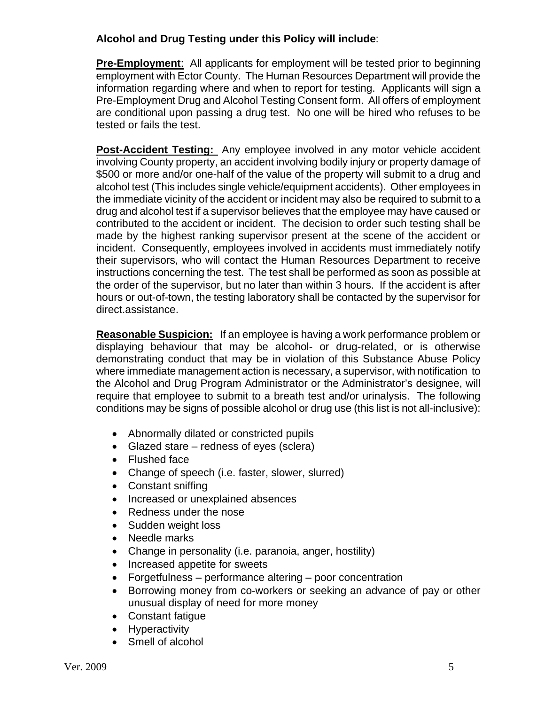#### **Alcohol and Drug Testing under this Policy will include**:

**Pre-Employment**: All applicants for employment will be tested prior to beginning employment with Ector County. The Human Resources Department will provide the information regarding where and when to report for testing. Applicants will sign a Pre-Employment Drug and Alcohol Testing Consent form. All offers of employment are conditional upon passing a drug test. No one will be hired who refuses to be tested or fails the test.

**Post-Accident Testing:** Any employee involved in any motor vehicle accident involving County property, an accident involving bodily injury or property damage of \$500 or more and/or one-half of the value of the property will submit to a drug and alcohol test (This includes single vehicle/equipment accidents). Other employees in the immediate vicinity of the accident or incident may also be required to submit to a drug and alcohol test if a supervisor believes that the employee may have caused or contributed to the accident or incident. The decision to order such testing shall be made by the highest ranking supervisor present at the scene of the accident or incident. Consequently, employees involved in accidents must immediately notify their supervisors, who will contact the Human Resources Department to receive instructions concerning the test. The test shall be performed as soon as possible at the order of the supervisor, but no later than within 3 hours. If the accident is after hours or out-of-town, the testing laboratory shall be contacted by the supervisor for direct.assistance.

**Reasonable Suspicion:** If an employee is having a work performance problem or displaying behaviour that may be alcohol- or drug-related, or is otherwise demonstrating conduct that may be in violation of this Substance Abuse Policy where immediate management action is necessary, a supervisor, with notification to the Alcohol and Drug Program Administrator or the Administrator's designee, will require that employee to submit to a breath test and/or urinalysis. The following conditions may be signs of possible alcohol or drug use (this list is not all-inclusive):

- Abnormally dilated or constricted pupils
- Glazed stare redness of eyes (sclera)
- Flushed face
- Change of speech (i.e. faster, slower, slurred)
- Constant sniffing
- Increased or unexplained absences
- Redness under the nose
- Sudden weight loss
- Needle marks
- Change in personality (i.e. paranoia, anger, hostility)
- Increased appetite for sweets
- Forgetfulness performance altering poor concentration
- Borrowing money from co-workers or seeking an advance of pay or other unusual display of need for more money
- Constant fatigue
- Hyperactivity
- Smell of alcohol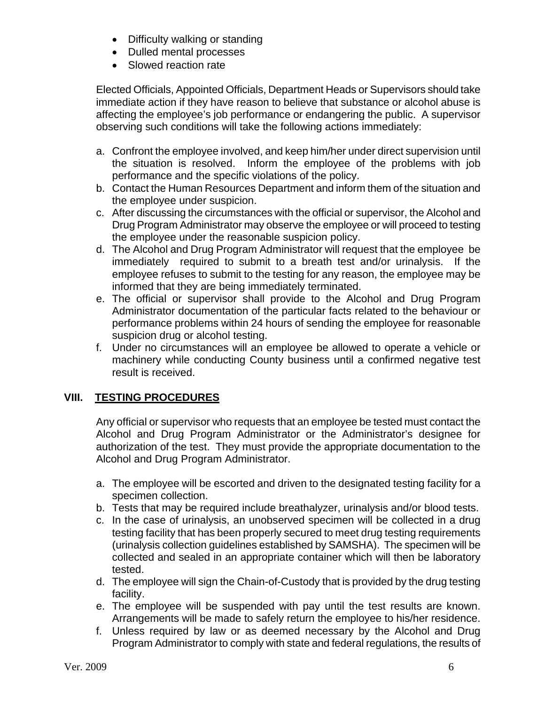- Difficulty walking or standing
- Dulled mental processes
- Slowed reaction rate

Elected Officials, Appointed Officials, Department Heads or Supervisors should take immediate action if they have reason to believe that substance or alcohol abuse is affecting the employee's job performance or endangering the public. A supervisor observing such conditions will take the following actions immediately:

- a. Confront the employee involved, and keep him/her under direct supervision until the situation is resolved. Inform the employee of the problems with job performance and the specific violations of the policy.
- b. Contact the Human Resources Department and inform them of the situation and the employee under suspicion.
- c. After discussing the circumstances with the official or supervisor, the Alcohol and Drug Program Administrator may observe the employee or will proceed to testing the employee under the reasonable suspicion policy.
- d. The Alcohol and Drug Program Administrator will request that the employee be immediately required to submit to a breath test and/or urinalysis. If the employee refuses to submit to the testing for any reason, the employee may be informed that they are being immediately terminated.
- e. The official or supervisor shall provide to the Alcohol and Drug Program Administrator documentation of the particular facts related to the behaviour or performance problems within 24 hours of sending the employee for reasonable suspicion drug or alcohol testing.
- f. Under no circumstances will an employee be allowed to operate a vehicle or machinery while conducting County business until a confirmed negative test result is received.

#### **VIII. TESTING PROCEDURES**

Any official or supervisor who requests that an employee be tested must contact the Alcohol and Drug Program Administrator or the Administrator's designee for authorization of the test. They must provide the appropriate documentation to the Alcohol and Drug Program Administrator.

- a. The employee will be escorted and driven to the designated testing facility for a specimen collection.
- b. Tests that may be required include breathalyzer, urinalysis and/or blood tests.
- c. In the case of urinalysis, an unobserved specimen will be collected in a drug testing facility that has been properly secured to meet drug testing requirements (urinalysis collection guidelines established by SAMSHA). The specimen will be collected and sealed in an appropriate container which will then be laboratory tested.
- d. The employee will sign the Chain-of-Custody that is provided by the drug testing facility.
- e. The employee will be suspended with pay until the test results are known. Arrangements will be made to safely return the employee to his/her residence.
- f. Unless required by law or as deemed necessary by the Alcohol and Drug Program Administrator to comply with state and federal regulations, the results of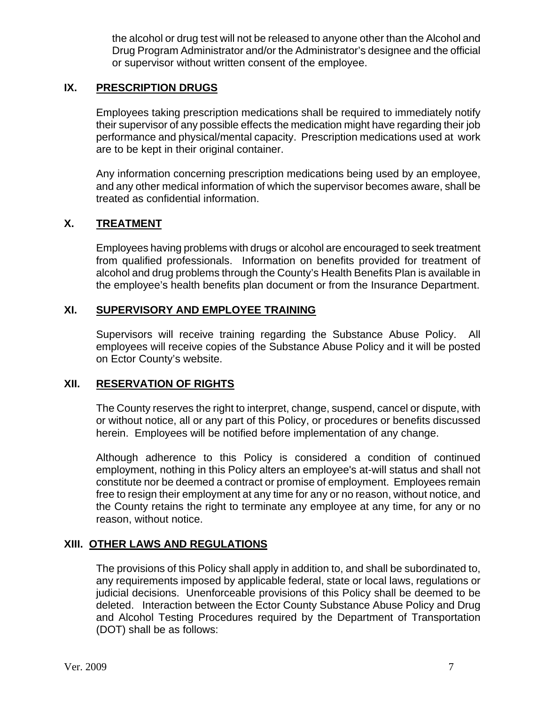the alcohol or drug test will not be released to anyone other than the Alcohol and Drug Program Administrator and/or the Administrator's designee and the official or supervisor without written consent of the employee.

#### **IX. PRESCRIPTION DRUGS**

Employees taking prescription medications shall be required to immediately notify their supervisor of any possible effects the medication might have regarding their job performance and physical/mental capacity. Prescription medications used at work are to be kept in their original container.

Any information concerning prescription medications being used by an employee, and any other medical information of which the supervisor becomes aware, shall be treated as confidential information.

#### **X. TREATMENT**

Employees having problems with drugs or alcohol are encouraged to seek treatment from qualified professionals. Information on benefits provided for treatment of alcohol and drug problems through the County's Health Benefits Plan is available in the employee's health benefits plan document or from the Insurance Department.

#### **XI. SUPERVISORY AND EMPLOYEE TRAINING**

Supervisors will receive training regarding the Substance Abuse Policy. All employees will receive copies of the Substance Abuse Policy and it will be posted on Ector County's website.

#### **XII. RESERVATION OF RIGHTS**

The County reserves the right to interpret, change, suspend, cancel or dispute, with or without notice, all or any part of this Policy, or procedures or benefits discussed herein. Employees will be notified before implementation of any change.

Although adherence to this Policy is considered a condition of continued employment, nothing in this Policy alters an employee's at-will status and shall not constitute nor be deemed a contract or promise of employment. Employees remain free to resign their employment at any time for any or no reason, without notice, and the County retains the right to terminate any employee at any time, for any or no reason, without notice.

#### **XIII. OTHER LAWS AND REGULATIONS**

The provisions of this Policy shall apply in addition to, and shall be subordinated to, any requirements imposed by applicable federal, state or local laws, regulations or judicial decisions. Unenforceable provisions of this Policy shall be deemed to be deleted. Interaction between the Ector County Substance Abuse Policy and Drug and Alcohol Testing Procedures required by the Department of Transportation (DOT) shall be as follows: